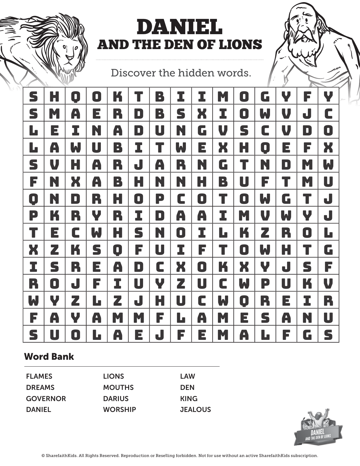

# DANIEL AND THE DEN OF LIONS

Discover the hidden words.

| S              | Н | 0 | 0 | K           |           | B |   | I | M | D | G | Y | F           | Y |
|----------------|---|---|---|-------------|-----------|---|---|---|---|---|---|---|-------------|---|
| S              | M | A | E | R           | D         | B | S | X | I | 0 | W | V | J           | C |
| L              | E | I | N | A           | D         | U | N | G | V | S | C | V | $\mathbf D$ | 0 |
| L              | A | W | U | B           | I         | T | W | E | X | H | 0 | E | F           | X |
| S              | V | Н | A | R           | J         | A | R | N | G | T | N | D | M           | W |
| F              | N | X | A | B           | Н         | N | N | Н | B | U | F | T | M           | U |
| $\blacksquare$ | N | D | R | Н           | 0         | P | C | 0 | T | 0 | W | G | T           | J |
| P              | K | R | Y | R           | I         | D | A | A | I | M | V | W | Y           | J |
| T              | E | С | W | H           | S         | N | O | I | Ŀ | K | Z | R | 0           | Ŀ |
| X              | Z | K | S | $\mathbf 0$ | F         | U | I | F |   | 0 | W | H | T           | G |
| I              | S | R | E | A           | $\bullet$ | C | X | O | K | X | Y | J | S           | F |
| R              | 0 | J | F | I           | U         | Y | Z | U | C | W | P | U | K           | V |
| W              | Y | Z | L | Z           | J         | H | U | C | W | 0 | R | E | I           | R |
| F              | A | Y | A | M           | M         | F | L | A | M | E | S | A | N           | U |
| S              | U | D | L | A           | E         | J | F | Е | M | A | L | F | G           | S |

### Word Bank

| <b>FLAMES</b>   | <b>LIONS</b>   | LAW            |
|-----------------|----------------|----------------|
| <b>DREAMS</b>   | <b>MOUTHS</b>  | <b>DEN</b>     |
| <b>GOVERNOR</b> | <b>DARIUS</b>  | <b>KING</b>    |
| <b>DANIEL</b>   | <b>WORSHIP</b> | <b>JEALOUS</b> |